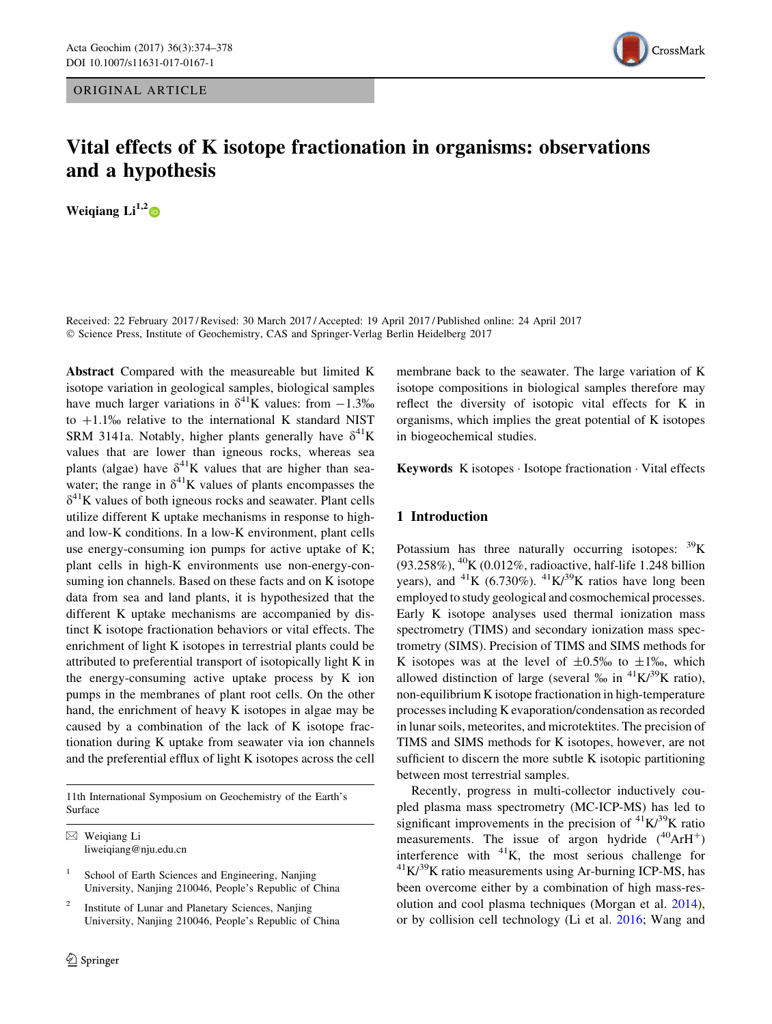## ORIGINAL ARTICLE



# Vital effects of K isotope fractionation in organisms: observations and a hypothesis

Weigiang  $Li^{1,2}$ 

Received: 22 February 2017 / Revised: 30 March 2017 / Accepted: 19 April 2017 / Published online: 24 April 2017 © Science Press, Institute of Geochemistry, CAS and Springer-Verlag Berlin Heidelberg 2017

Abstract Compared with the measureable but limited K isotope variation in geological samples, biological samples have much larger variations in  $\delta^{41}$ K values: from  $-1.3\%$ to  $+1.1\%$  relative to the international K standard NIST SRM 3141a. Notably, higher plants generally have  $\delta^{41}$ K values that are lower than igneous rocks, whereas sea plants (algae) have  $\delta^{41}$ K values that are higher than seawater; the range in  $\delta^{41}$ K values of plants encompasses the  $\delta^{41}$ K values of both igneous rocks and seawater. Plant cells utilize different K uptake mechanisms in response to highand low-K conditions. In a low-K environment, plant cells use energy-consuming ion pumps for active uptake of K; plant cells in high-K environments use non-energy-consuming ion channels. Based on these facts and on K isotope data from sea and land plants, it is hypothesized that the different K uptake mechanisms are accompanied by distinct K isotope fractionation behaviors or vital effects. The enrichment of light K isotopes in terrestrial plants could be attributed to preferential transport of isotopically light K in the energy-consuming active uptake process by K ion pumps in the membranes of plant root cells. On the other hand, the enrichment of heavy K isotopes in algae may be caused by a combination of the lack of K isotope fractionation during K uptake from seawater via ion channels and the preferential efflux of light K isotopes across the cell

11th International Symposium on Geochemistry of the Earth's Surface

 $\boxtimes$  Weigiang Li liweiqiang@nju.edu.cn

School of Earth Sciences and Engineering, Nanjing University, Nanjing 210046, People's Republic of China

Institute of Lunar and Planetary Sciences, Nanjing University, Nanjing 210046, People's Republic of China

membrane back to the seawater. The large variation of K isotope compositions in biological samples therefore may reflect the diversity of isotopic vital effects for K in organisms, which implies the great potential of K isotopes in biogeochemical studies.

Keywords K isotopes - Isotope fractionation - Vital effects

# 1 Introduction

Potassium has three naturally occurring isotopes:  ${}^{39}K$ (93.258%), <sup>40</sup>K (0.012%, radioactive, half-life 1.248 billion years), and <sup>41</sup>K (6.730%). <sup>41</sup>K $\lambda$ <sup>39</sup>K ratios have long been employed to study geological and cosmochemical processes. Early K isotope analyses used thermal ionization mass spectrometry (TIMS) and secondary ionization mass spectrometry (SIMS). Precision of TIMS and SIMS methods for K isotopes was at the level of  $\pm 0.5\%$  to  $\pm 1\%$ , which allowed distinction of large (several  $\%$  in  $^{41}K/^{39}K$  ratio), non-equilibrium K isotope fractionation in high-temperature processes including K evaporation/condensation as recorded in lunar soils, meteorites, and microtektites. The precision of TIMS and SIMS methods for K isotopes, however, are not sufficient to discern the more subtle K isotopic partitioning between most terrestrial samples.

Recently, progress in multi-collector inductively coupled plasma mass spectrometry (MC-ICP-MS) has led to significant improvements in the precision of  ${}^{41}$ K/ ${}^{39}$ K ratio measurements. The issue of argon hydride  $(^{40}ArH^{+})$ interference with <sup>41</sup>K, the most serious challenge for  ${}^{41}K/{}^{39}K$  ratio measurements using Ar-burning ICP-MS, has been overcome either by a combination of high mass-resolution and cool plasma techniques (Morgan et al. [2014](#page-4-0)), or by collision cell technology (Li et al. [2016;](#page-4-0) Wang and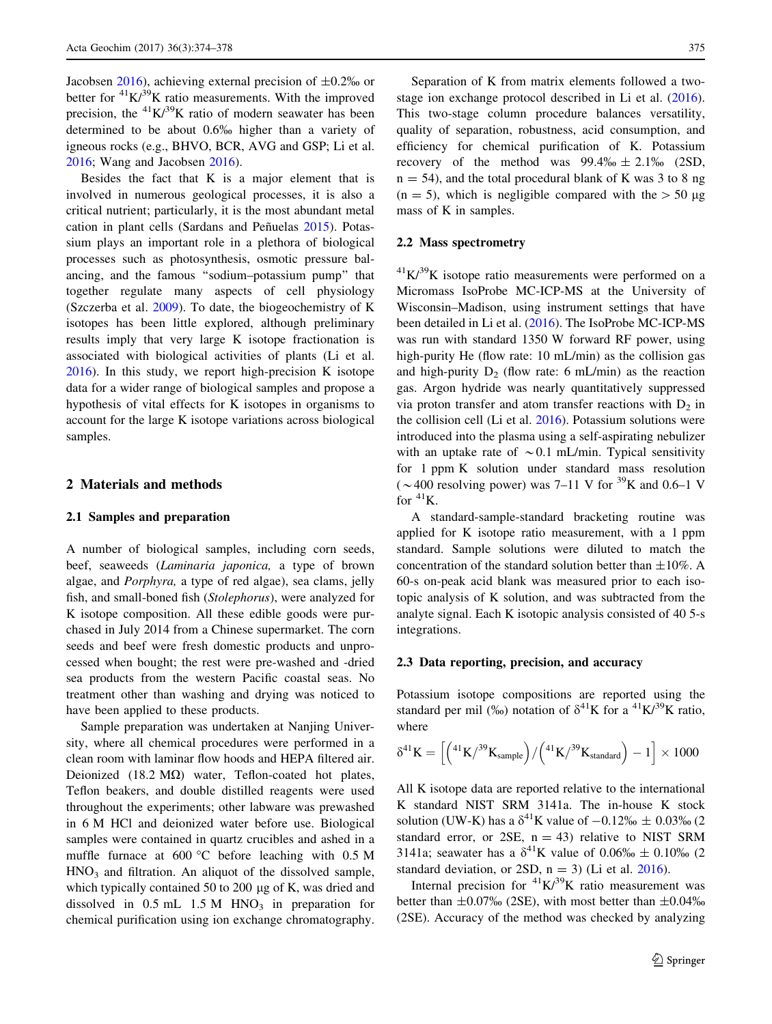Jacobsen [2016](#page-4-0)), achieving external precision of  $\pm 0.2\%$  or better for  ${}^{41}$ K/ ${}^{39}$ K ratio measurements. With the improved precision, the  ${}^{41}K/{}^{39}K$  ratio of modern seawater has been determined to be about 0.6% higher than a variety of igneous rocks (e.g., BHVO, BCR, AVG and GSP; Li et al. [2016;](#page-4-0) Wang and Jacobsen [2016](#page-4-0)).

Besides the fact that K is a major element that is involved in numerous geological processes, it is also a critical nutrient; particularly, it is the most abundant metal cation in plant cells (Sardans and Peñuelas [2015](#page-4-0)). Potassium plays an important role in a plethora of biological processes such as photosynthesis, osmotic pressure balancing, and the famous ''sodium–potassium pump'' that together regulate many aspects of cell physiology (Szczerba et al. [2009\)](#page-4-0). To date, the biogeochemistry of K isotopes has been little explored, although preliminary results imply that very large K isotope fractionation is associated with biological activities of plants (Li et al. [2016\)](#page-4-0). In this study, we report high-precision K isotope data for a wider range of biological samples and propose a hypothesis of vital effects for K isotopes in organisms to account for the large K isotope variations across biological samples.

#### 2 Materials and methods

## 2.1 Samples and preparation

A number of biological samples, including corn seeds, beef, seaweeds (Laminaria japonica, a type of brown algae, and Porphyra, a type of red algae), sea clams, jelly fish, and small-boned fish (Stolephorus), were analyzed for K isotope composition. All these edible goods were purchased in July 2014 from a Chinese supermarket. The corn seeds and beef were fresh domestic products and unprocessed when bought; the rest were pre-washed and -dried sea products from the western Pacific coastal seas. No treatment other than washing and drying was noticed to have been applied to these products.

Sample preparation was undertaken at Nanjing University, where all chemical procedures were performed in a clean room with laminar flow hoods and HEPA filtered air. Deionized  $(18.2 \text{ M}\Omega)$  water, Teflon-coated hot plates, Teflon beakers, and double distilled reagents were used throughout the experiments; other labware was prewashed in 6 M HCl and deionized water before use. Biological samples were contained in quartz crucibles and ashed in a muffle furnace at  $600 \degree$ C before leaching with 0.5 M  $HNO<sub>3</sub>$  and filtration. An aliquot of the dissolved sample, which typically contained 50 to 200  $\mu$ g of K, was dried and dissolved in  $0.5$  mL  $1.5$  M HNO<sub>3</sub> in preparation for chemical purification using ion exchange chromatography.

Separation of K from matrix elements followed a twostage ion exchange protocol described in Li et al. [\(2016](#page-4-0)). This two-stage column procedure balances versatility, quality of separation, robustness, acid consumption, and efficiency for chemical purification of K. Potassium recovery of the method was  $99.4\% \pm 2.1\%$  (2SD,  $n = 54$ ), and the total procedural blank of K was 3 to 8 ng  $(n = 5)$ , which is negligible compared with the  $> 50 \mu$ g mass of K in samples.

## 2.2 Mass spectrometry

 $^{41}$ K/ $^{39}$ K isotope ratio measurements were performed on a Micromass IsoProbe MC-ICP-MS at the University of Wisconsin–Madison, using instrument settings that have been detailed in Li et al. [\(2016](#page-4-0)). The IsoProbe MC-ICP-MS was run with standard 1350 W forward RF power, using high-purity He (flow rate: 10 mL/min) as the collision gas and high-purity  $D_2$  (flow rate: 6 mL/min) as the reaction gas. Argon hydride was nearly quantitatively suppressed via proton transfer and atom transfer reactions with  $D_2$  in the collision cell (Li et al. [2016](#page-4-0)). Potassium solutions were introduced into the plasma using a self-aspirating nebulizer with an uptake rate of  $\sim 0.1$  mL/min. Typical sensitivity for 1 ppm K solution under standard mass resolution ( $\sim$ 400 resolving power) was 7–11 V for <sup>39</sup>K and 0.6–1 V for  ${}^{41}$ K.

A standard-sample-standard bracketing routine was applied for K isotope ratio measurement, with a 1 ppm standard. Sample solutions were diluted to match the concentration of the standard solution better than  $\pm 10\%$ . A 60-s on-peak acid blank was measured prior to each isotopic analysis of K solution, and was subtracted from the analyte signal. Each K isotopic analysis consisted of 40 5-s integrations.

#### 2.3 Data reporting, precision, and accuracy

Potassium isotope compositions are reported using the standard per mil (%) notation of  $\delta^{41}$ K for a  $^{41}$ K/<sup>39</sup>K ratio, where

$$
\delta^{41} K = \left[\left({}^{41}K/{}^{39}K_{sample}\right) / \left({}^{41}K/{}^{39}K_{standard}\right) - 1\right] \times 1000
$$

All K isotope data are reported relative to the international K standard NIST SRM 3141a. The in-house K stock solution (UW-K) has a  $\delta^{41}$ K value of  $-0.12\% \pm 0.03\%$  (2 standard error, or 2SE,  $n = 43$ ) relative to NIST SRM 3141a; seawater has a  $\delta^{41}$ K value of 0.06%  $\pm$  0.10% (2 standard deviation, or 2SD,  $n = 3$ ) (Li et al. [2016\)](#page-4-0).

Internal precision for  ${}^{41}K/{}^{39}K$  ratio measurement was better than  $\pm 0.07\%$  (2SE), with most better than  $\pm 0.04\%$ (2SE). Accuracy of the method was checked by analyzing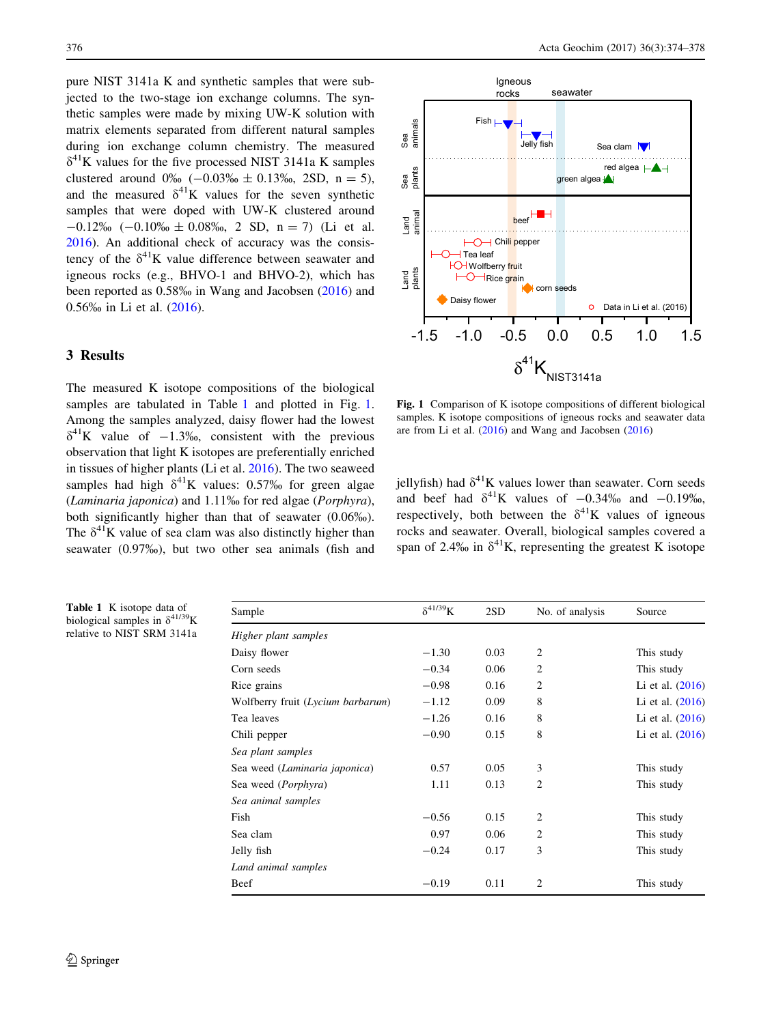<span id="page-2-0"></span>pure NIST 3141a K and synthetic samples that were subjected to the two-stage ion exchange columns. The synthetic samples were made by mixing UW-K solution with matrix elements separated from different natural samples during ion exchange column chemistry. The measured  $\delta^{41}$ K values for the five processed NIST 3141a K samples clustered around  $0\%$  ( $-0.03\%$  ± 0.13\%, 2SD, n = 5), and the measured  $\delta^{41}$ K values for the seven synthetic samples that were doped with UW-K clustered around  $-0.12\%$  ( $-0.10\%$   $\pm$  0.08%, 2 SD, n = 7) (Li et al. [2016\)](#page-4-0). An additional check of accuracy was the consistency of the  $\delta^{41}$ K value difference between seawater and igneous rocks (e.g., BHVO-1 and BHVO-2), which has been reported as 0.58% in Wang and Jacobsen [\(2016](#page-4-0)) and 0.56% in Li et al. [\(2016](#page-4-0)).

# 3 Results

The measured K isotope compositions of the biological samples are tabulated in Table 1 and plotted in Fig. 1. Among the samples analyzed, daisy flower had the lowest  $\delta^{41}$ K value of  $-1.3\%$ , consistent with the previous observation that light K isotopes are preferentially enriched in tissues of higher plants (Li et al. [2016\)](#page-4-0). The two seaweed samples had high  $\delta^{41}$ K values: 0.57% for green algae (Laminaria japonica) and 1.11% for red algae (Porphyra), both significantly higher than that of seawater (0.06%). The  $\delta^{41}$ K value of sea clam was also distinctly higher than seawater (0.97%), but two other sea animals (fish and



Fig. 1 Comparison of K isotope compositions of different biological samples. K isotope compositions of igneous rocks and seawater data are from Li et al. [\(2016\)](#page-4-0) and Wang and Jacobsen [\(2016](#page-4-0))

jellyfish) had  $\delta^{41}$ K values lower than seawater. Corn seeds and beef had  $\delta^{41}$ K values of  $-0.34\%$  and  $-0.19\%$ , respectively, both between the  $\delta^{41}$ K values of igneous rocks and seawater. Overall, biological samples covered a span of 2.4‰ in  $\delta^{41}$ K, representing the greatest K isotope

| Sample                            | $\delta^{41/39}$ K | 2SD  | No. of analysis | Source             |
|-----------------------------------|--------------------|------|-----------------|--------------------|
| Higher plant samples              |                    |      |                 |                    |
| Daisy flower                      | $-1.30$            | 0.03 | $\overline{2}$  | This study         |
| Corn seeds                        | $-0.34$            | 0.06 | 2               | This study         |
| Rice grains                       | $-0.98$            | 0.16 | 2               | Li et al. $(2016)$ |
| Wolfberry fruit (Lycium barbarum) | $-1.12$            | 0.09 | 8               | Li et al. $(2016)$ |
| Tea leaves                        | $-1.26$            | 0.16 | 8               | Li et al. $(2016)$ |
| Chili pepper                      | $-0.90$            | 0.15 | 8               | Li et al. $(2016)$ |
| Sea plant samples                 |                    |      |                 |                    |
| Sea weed (Laminaria japonica)     | 0.57               | 0.05 | 3               | This study         |
| Sea weed ( <i>Porphyra</i> )      | 1.11               | 0.13 | 2               | This study         |
| Sea animal samples                |                    |      |                 |                    |
| Fish                              | $-0.56$            | 0.15 | 2               | This study         |
| Sea clam                          | 0.97               | 0.06 | 2               | This study         |
| Jelly fish                        | $-0.24$            | 0.17 | 3               | This study         |
| Land animal samples               |                    |      |                 |                    |
| Beef                              | $-0.19$            | 0.11 | 2               | This study         |

Table 1 K isotope data of biological samples in  $\delta^{41/39}$ K relative to NIST SRM 3141a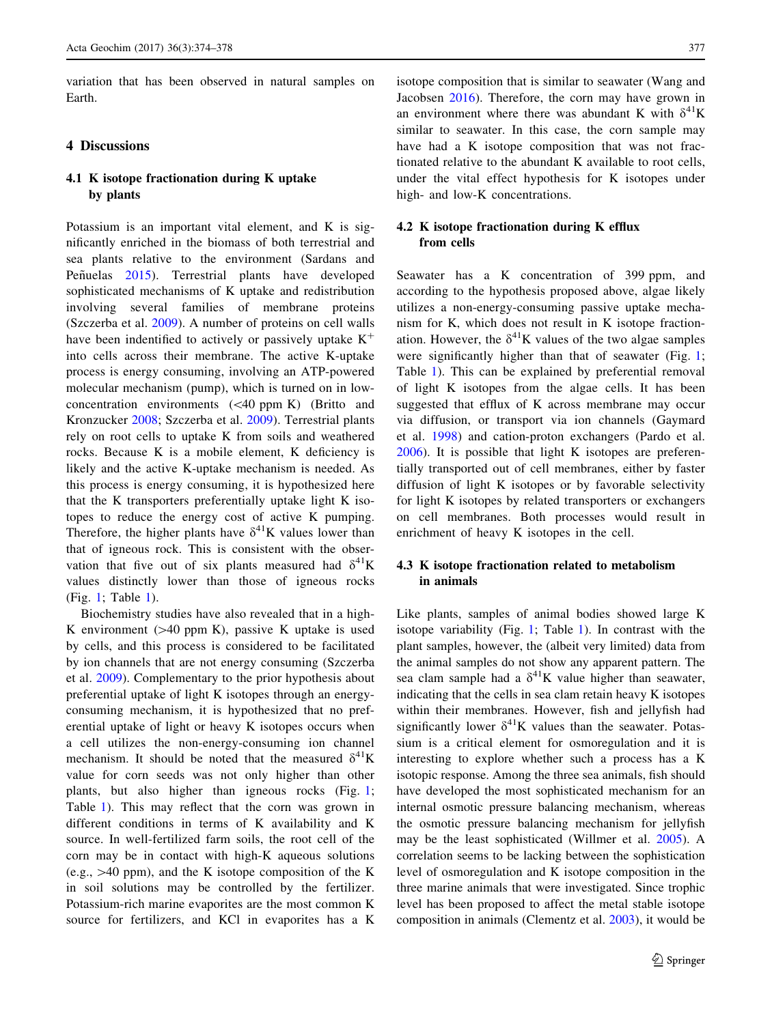variation that has been observed in natural samples on Earth.

#### 4 Discussions

# 4.1 K isotope fractionation during K uptake by plants

Potassium is an important vital element, and K is significantly enriched in the biomass of both terrestrial and sea plants relative to the environment (Sardans and Peñuelas [2015\)](#page-4-0). Terrestrial plants have developed sophisticated mechanisms of K uptake and redistribution involving several families of membrane proteins (Szczerba et al. [2009](#page-4-0)). A number of proteins on cell walls have been indentified to actively or passively uptake  $K^+$ into cells across their membrane. The active K-uptake process is energy consuming, involving an ATP-powered molecular mechanism (pump), which is turned on in lowconcentration environments  $( $40$  ppm K) (Britto and$ Kronzucker [2008;](#page-4-0) Szczerba et al. [2009\)](#page-4-0). Terrestrial plants rely on root cells to uptake K from soils and weathered rocks. Because K is a mobile element, K deficiency is likely and the active K-uptake mechanism is needed. As this process is energy consuming, it is hypothesized here that the K transporters preferentially uptake light K isotopes to reduce the energy cost of active K pumping. Therefore, the higher plants have  $\delta^{41}$ K values lower than that of igneous rock. This is consistent with the observation that five out of six plants measured had  $\delta^{41}$ K values distinctly lower than those of igneous rocks (Fig. [1;](#page-2-0) Table [1\)](#page-2-0).

Biochemistry studies have also revealed that in a high-K environment  $(>= 40$  ppm K), passive K uptake is used by cells, and this process is considered to be facilitated by ion channels that are not energy consuming (Szczerba et al. [2009](#page-4-0)). Complementary to the prior hypothesis about preferential uptake of light K isotopes through an energyconsuming mechanism, it is hypothesized that no preferential uptake of light or heavy K isotopes occurs when a cell utilizes the non-energy-consuming ion channel mechanism. It should be noted that the measured  $\delta^{41}$ K value for corn seeds was not only higher than other plants, but also higher than igneous rocks (Fig. [1](#page-2-0); Table [1](#page-2-0)). This may reflect that the corn was grown in different conditions in terms of K availability and K source. In well-fertilized farm soils, the root cell of the corn may be in contact with high-K aqueous solutions (e.g.,  $>40$  ppm), and the K isotope composition of the K in soil solutions may be controlled by the fertilizer. Potassium-rich marine evaporites are the most common K source for fertilizers, and KCl in evaporites has a K isotope composition that is similar to seawater (Wang and Jacobsen [2016\)](#page-4-0). Therefore, the corn may have grown in an environment where there was abundant K with  $\delta^{41}$ K similar to seawater. In this case, the corn sample may have had a K isotope composition that was not fractionated relative to the abundant K available to root cells, under the vital effect hypothesis for K isotopes under high- and low-K concentrations.

## 4.2 K isotope fractionation during K efflux from cells

Seawater has a K concentration of 399 ppm, and according to the hypothesis proposed above, algae likely utilizes a non-energy-consuming passive uptake mechanism for K, which does not result in K isotope fractionation. However, the  $\delta^{41}$ K values of the two algae samples were significantly higher than that of seawater (Fig. [1](#page-2-0); Table [1\)](#page-2-0). This can be explained by preferential removal of light K isotopes from the algae cells. It has been suggested that efflux of K across membrane may occur via diffusion, or transport via ion channels (Gaymard et al. [1998](#page-4-0)) and cation-proton exchangers (Pardo et al. [2006](#page-4-0)). It is possible that light K isotopes are preferentially transported out of cell membranes, either by faster diffusion of light K isotopes or by favorable selectivity for light K isotopes by related transporters or exchangers on cell membranes. Both processes would result in enrichment of heavy K isotopes in the cell.

## 4.3 K isotope fractionation related to metabolism in animals

Like plants, samples of animal bodies showed large K isotope variability (Fig. [1](#page-2-0); Table [1\)](#page-2-0). In contrast with the plant samples, however, the (albeit very limited) data from the animal samples do not show any apparent pattern. The sea clam sample had a  $\delta^{41}$ K value higher than seawater, indicating that the cells in sea clam retain heavy K isotopes within their membranes. However, fish and jellyfish had significantly lower  $\delta^{41}$ K values than the seawater. Potassium is a critical element for osmoregulation and it is interesting to explore whether such a process has a K isotopic response. Among the three sea animals, fish should have developed the most sophisticated mechanism for an internal osmotic pressure balancing mechanism, whereas the osmotic pressure balancing mechanism for jellyfish may be the least sophisticated (Willmer et al. [2005\)](#page-4-0). A correlation seems to be lacking between the sophistication level of osmoregulation and K isotope composition in the three marine animals that were investigated. Since trophic level has been proposed to affect the metal stable isotope composition in animals (Clementz et al. [2003](#page-4-0)), it would be